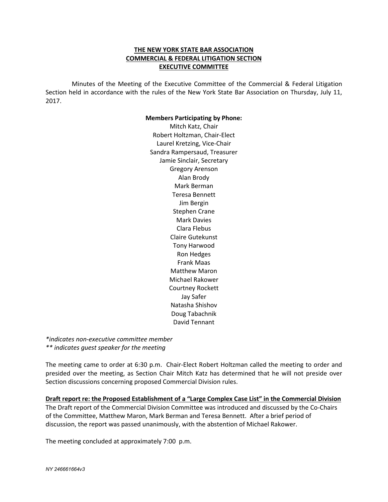## **THE NEW YORK STATE BAR ASSOCIATION COMMERCIAL & FEDERAL LITIGATION SECTION EXECUTIVE COMMITTEE**

 Minutes of the Meeting of the Executive Committee of the Commercial & Federal Litigation Section held in accordance with the rules of the New York State Bar Association on Thursday, July 11, 2017.

## **Members Participating by Phone:**

Mitch Katz, Chair Robert Holtzman, Chair-Elect Laurel Kretzing, Vice-Chair Sandra Rampersaud, Treasurer Jamie Sinclair, Secretary Gregory Arenson Alan Brody Mark Berman Teresa Bennett Jim Bergin Stephen Crane Mark Davies Clara Flebus Claire Gutekunst Tony Harwood Ron Hedges Frank Maas Matthew Maron Michael Rakower Courtney Rockett Jay Safer Natasha Shishov Doug Tabachnik David Tennant

*\*indicates non-executive committee member \*\* indicates guest speaker for the meeting* 

The meeting came to order at 6:30 p.m. Chair-Elect Robert Holtzman called the meeting to order and presided over the meeting, as Section Chair Mitch Katz has determined that he will not preside over Section discussions concerning proposed Commercial Division rules.

**Draft report re: the Proposed Establishment of a "Large Complex Case List" in the Commercial Division** The Draft report of the Commercial Division Committee was introduced and discussed by the Co-Chairs of the Committee, Matthew Maron, Mark Berman and Teresa Bennett. After a brief period of discussion, the report was passed unanimously, with the abstention of Michael Rakower.

The meeting concluded at approximately 7:00 p.m.